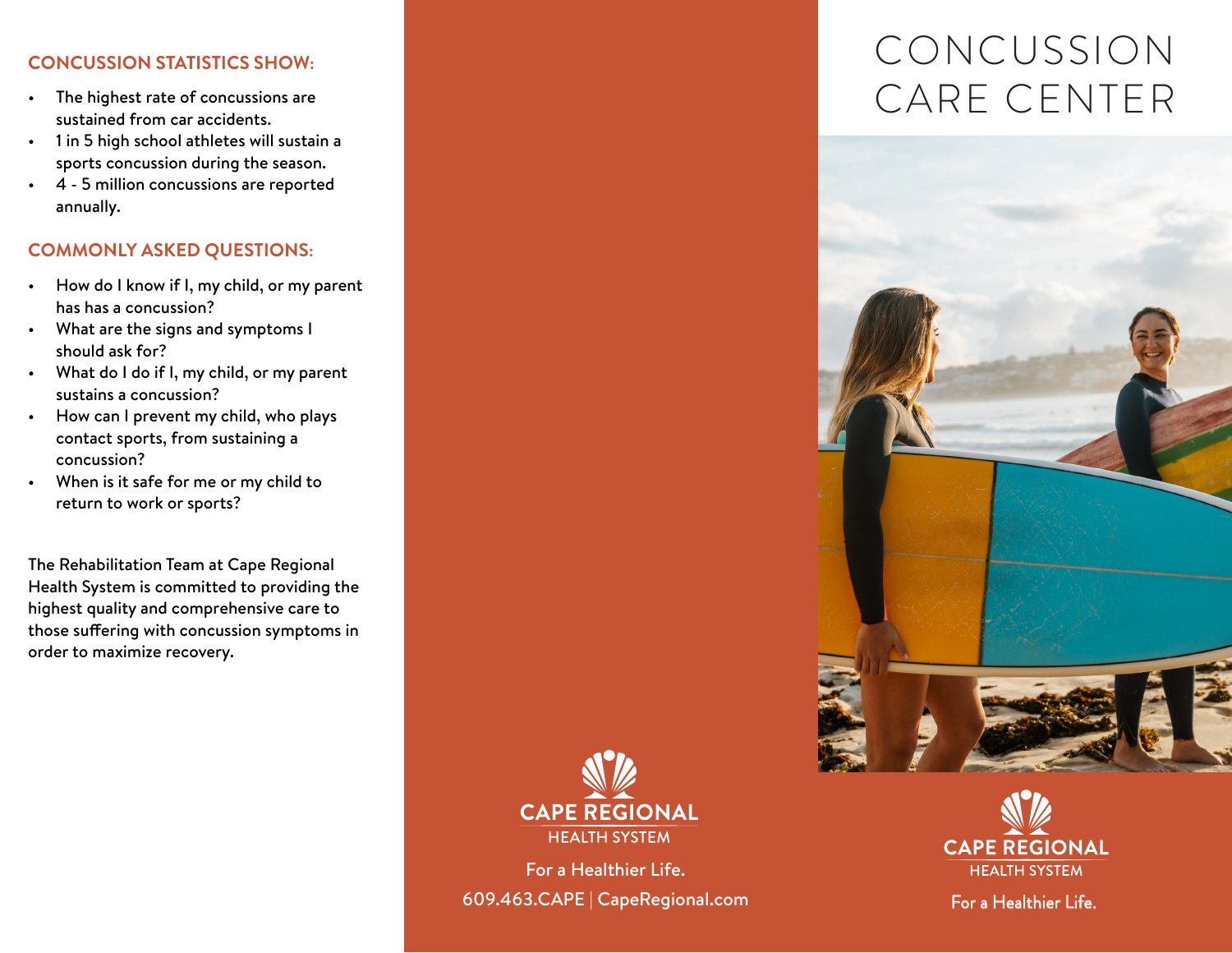## **CONCUSSION STATISTICS SHOW:**

- The highest rate of concussions are sustained from car accidents.
- 1 in 5 high school athletes will sustain a sports concussion during the season.
- 4 5 million concussions are reported annually.

### **COMMONLY ASKED QUESTIONS:**

- How do I know if I, my child, or my parent has has a concussion?
- What are the signs and symptoms I should ask for?
- What do I do if I, my child, or my parent sustains a concussion?
- How can I prevent my child, who plays contact sports, from sustaining a concussion?
- When is it safe for me or my child to return to work or sports?

The Rehabilitation Team at Cape Regional Health System is committed to providing the highest quality and comprehensive care to those suffering with concussion symptoms in order to maximize recovery.



For a Healthier Life. 609.463.CAPE | CapeRegional.com

# CONCUSSION CARE CENTER





For a Healthier Life.